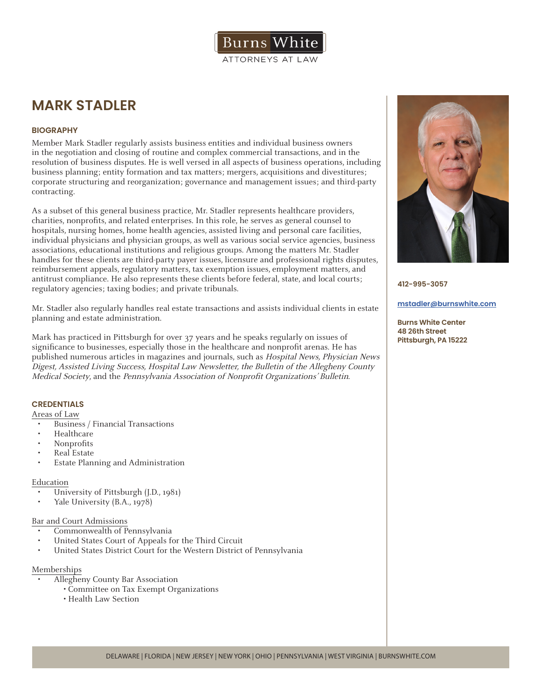

# **MARK STADLER**

# **BIOGRAPHY**

Member Mark Stadler regularly assists business entities and individual business owners in the negotiation and closing of routine and complex commercial transactions, and in the resolution of business disputes. He is well versed in all aspects of business operations, including business planning; entity formation and tax matters; mergers, acquisitions and divestitures; corporate structuring and reorganization; governance and management issues; and third-party contracting.

As a subset of this general business practice, Mr. Stadler represents healthcare providers, charities, nonprofits, and related enterprises. In this role, he serves as general counsel to hospitals, nursing homes, home health agencies, assisted living and personal care facilities, individual physicians and physician groups, as well as various social service agencies, business associations, educational institutions and religious groups. Among the matters Mr. Stadler handles for these clients are third-party payer issues, licensure and professional rights disputes, reimbursement appeals, regulatory matters, tax exemption issues, employment matters, and antitrust compliance. He also represents these clients before federal, state, and local courts; regulatory agencies; taxing bodies; and private tribunals.

Mr. Stadler also regularly handles real estate transactions and assists individual clients in estate planning and estate administration.

Mark has practiced in Pittsburgh for over 37 years and he speaks regularly on issues of significance to businesses, especially those in the healthcare and nonprofit arenas. He has published numerous articles in magazines and journals, such as Hospital News, Physician News Digest, Assisted Living Success, Hospital Law Newsletter, the Bulletin of the Allegheny County Medical Society, and the Pennsylvania Association of Nonprofit Organizations' Bulletin.

# **CREDENTIALS**

# Areas of Law

- Business / Financial Transactions
- Healthcare
- Nonprofits
- Real Estate
- Estate Planning and Administration

## Education

- University of Pittsburgh (J.D., 1981)
- Yale University (B.A., 1978)

#### Bar and Court Admissions

- Commonwealth of Pennsylvania
- United States Court of Appeals for the Third Circuit
- United States District Court for the Western District of Pennsylvania

## Memberships

- Allegheny County Bar Association
	- Committee on Tax Exempt Organizations
	- Health Law Section



**412-995-3057**

#### **mstadler@burnswhite.com**

**Burns White Center 48 26th Street Pittsburgh, PA 15222**